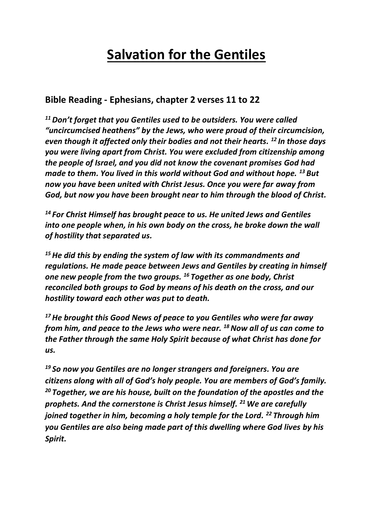# **Salvation for the Gentiles**

#### **Bible Reading - Ephesians, chapter 2 verses 11 to 22**

*<sup>11</sup>Don't forget that you Gentiles used to be outsiders. You were called "uncircumcised heathens" by the Jews, who were proud of their circumcision, even though it affected only their bodies and not their hearts. <sup>12</sup> In those days you were living apart from Christ. You were excluded from citizenship among the people of Israel, and you did not know the covenant promises God had made to them. You lived in this world without God and without hope. <sup>13</sup> But now you have been united with Christ Jesus. Once you were far away from God, but now you have been brought near to him through the blood of Christ.*

*<sup>14</sup> For Christ Himself has brought peace to us. He united Jews and Gentiles into one people when, in his own body on the cross, he broke down the wall of hostility that separated us.* 

*<sup>15</sup>He did this by ending the system of law with its commandments and regulations. He made peace between Jews and Gentiles by creating in himself one new people from the two groups. <sup>16</sup> Together as one body, Christ reconciled both groups to God by means of his death on the cross, and our hostility toward each other was put to death.*

*<sup>17</sup>He brought this Good News of peace to you Gentiles who were far away from him, and peace to the Jews who were near. <sup>18</sup>Now all of us can come to the Father through the same Holy Spirit because of what Christ has done for us.*

*<sup>19</sup> So now you Gentiles are no longer strangers and foreigners. You are citizens along with all of God's holy people. You are members of God's family. <sup>20</sup> Together, we are his house, built on the foundation of the apostles and the prophets. And the cornerstone is Christ Jesus himself. <sup>21</sup> We are carefully joined together in him, becoming a holy temple for the Lord. <sup>22</sup> Through him you Gentiles are also being made part of this dwelling where God lives by his Spirit.*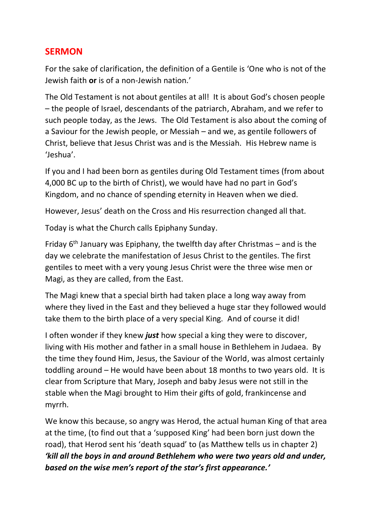#### **SERMON**

For the sake of clarification, the definition of a Gentile is 'One who is not of the Jewish faith **or** is of a non-Jewish nation.'

The Old Testament is not about gentiles at all! It is about God's chosen people – the people of Israel, descendants of the patriarch, Abraham, and we refer to such people today, as the Jews. The Old Testament is also about the coming of a Saviour for the Jewish people, or Messiah – and we, as gentile followers of Christ, believe that Jesus Christ was and is the Messiah. His Hebrew name is 'Jeshua'.

If you and I had been born as gentiles during Old Testament times (from about 4,000 BC up to the birth of Christ), we would have had no part in God's Kingdom, and no chance of spending eternity in Heaven when we died.

However, Jesus' death on the Cross and His resurrection changed all that.

Today is what the Church calls Epiphany Sunday.

Friday 6<sup>th</sup> January was Epiphany, the twelfth day after Christmas – and is the day we celebrate the manifestation of Jesus Christ to the gentiles. The first gentiles to meet with a very young Jesus Christ were the three wise men or Magi, as they are called, from the East.

The Magi knew that a special birth had taken place a long way away from where they lived in the East and they believed a huge star they followed would take them to the birth place of a very special King. And of course it did!

I often wonder if they knew *just* how special a king they were to discover, living with His mother and father in a small house in Bethlehem in Judaea. By the time they found Him, Jesus, the Saviour of the World, was almost certainly toddling around – He would have been about 18 months to two years old. It is clear from Scripture that Mary, Joseph and baby Jesus were not still in the stable when the Magi brought to Him their gifts of gold, frankincense and myrrh.

We know this because, so angry was Herod, the actual human King of that area at the time, (to find out that a 'supposed King' had been born just down the road), that Herod sent his 'death squad' to (as Matthew tells us in chapter 2) *'kill all the boys in and around Bethlehem who were two years old and under, based on the wise men's report of the star's first appearance.'*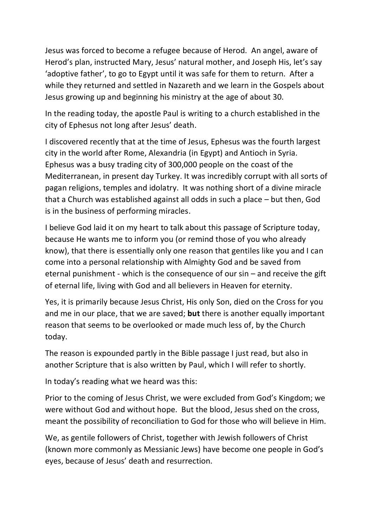Jesus was forced to become a refugee because of Herod. An angel, aware of Herod's plan, instructed Mary, Jesus' natural mother, and Joseph His, let's say 'adoptive father', to go to Egypt until it was safe for them to return. After a while they returned and settled in Nazareth and we learn in the Gospels about Jesus growing up and beginning his ministry at the age of about 30.

In the reading today, the apostle Paul is writing to a church established in the city of Ephesus not long after Jesus' death.

I discovered recently that at the time of Jesus, Ephesus was the fourth largest city in the world after Rome, Alexandria (in Egypt) and Antioch in Syria. Ephesus was a busy trading city of 300,000 people on the coast of the Mediterranean, in present day Turkey. It was incredibly corrupt with all sorts of pagan religions, temples and idolatry. It was nothing short of a divine miracle that a Church was established against all odds in such a place – but then, God is in the business of performing miracles.

I believe God laid it on my heart to talk about this passage of Scripture today, because He wants me to inform you (or remind those of you who already know), that there is essentially only one reason that gentiles like you and I can come into a personal relationship with Almighty God and be saved from eternal punishment - which is the consequence of our sin – and receive the gift of eternal life, living with God and all believers in Heaven for eternity.

Yes, it is primarily because Jesus Christ, His only Son, died on the Cross for you and me in our place, that we are saved; **but** there is another equally important reason that seems to be overlooked or made much less of, by the Church today.

The reason is expounded partly in the Bible passage I just read, but also in another Scripture that is also written by Paul, which I will refer to shortly.

In today's reading what we heard was this:

Prior to the coming of Jesus Christ, we were excluded from God's Kingdom; we were without God and without hope. But the blood, Jesus shed on the cross, meant the possibility of reconciliation to God for those who will believe in Him.

We, as gentile followers of Christ, together with Jewish followers of Christ (known more commonly as Messianic Jews) have become one people in God's eyes, because of Jesus' death and resurrection.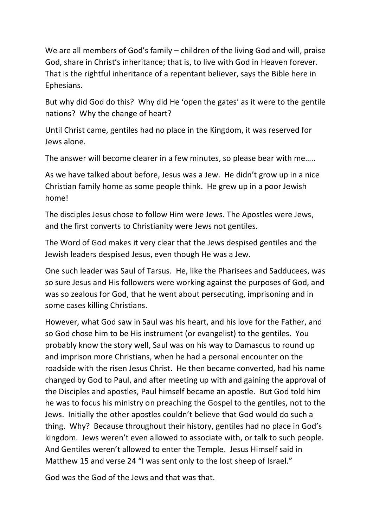We are all members of God's family – children of the living God and will, praise God, share in Christ's inheritance; that is, to live with God in Heaven forever. That is the rightful inheritance of a repentant believer, says the Bible here in Ephesians.

But why did God do this? Why did He 'open the gates' as it were to the gentile nations? Why the change of heart?

Until Christ came, gentiles had no place in the Kingdom, it was reserved for Jews alone.

The answer will become clearer in a few minutes, so please bear with me…..

As we have talked about before, Jesus was a Jew. He didn't grow up in a nice Christian family home as some people think. He grew up in a poor Jewish home!

The disciples Jesus chose to follow Him were Jews. The Apostles were Jews, and the first converts to Christianity were Jews not gentiles.

The Word of God makes it very clear that the Jews despised gentiles and the Jewish leaders despised Jesus, even though He was a Jew.

One such leader was Saul of Tarsus. He, like the Pharisees and Sadducees, was so sure Jesus and His followers were working against the purposes of God, and was so zealous for God, that he went about persecuting, imprisoning and in some cases killing Christians.

However, what God saw in Saul was his heart, and his love for the Father, and so God chose him to be His instrument (or evangelist) to the gentiles. You probably know the story well, Saul was on his way to Damascus to round up and imprison more Christians, when he had a personal encounter on the roadside with the risen Jesus Christ. He then became converted, had his name changed by God to Paul, and after meeting up with and gaining the approval of the Disciples and apostles, Paul himself became an apostle. But God told him he was to focus his ministry on preaching the Gospel to the gentiles, not to the Jews. Initially the other apostles couldn't believe that God would do such a thing. Why? Because throughout their history, gentiles had no place in God's kingdom. Jews weren't even allowed to associate with, or talk to such people. And Gentiles weren't allowed to enter the Temple. Jesus Himself said in Matthew 15 and verse 24 "I was sent only to the lost sheep of Israel."

God was the God of the Jews and that was that.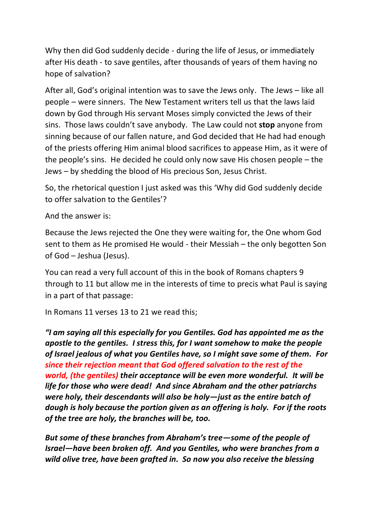Why then did God suddenly decide - during the life of Jesus, or immediately after His death - to save gentiles, after thousands of years of them having no hope of salvation?

After all, God's original intention was to save the Jews only. The Jews – like all people – were sinners. The New Testament writers tell us that the laws laid down by God through His servant Moses simply convicted the Jews of their sins. Those laws couldn't save anybody. The Law could not **stop** anyone from sinning because of our fallen nature, and God decided that He had had enough of the priests offering Him animal blood sacrifices to appease Him, as it were of the people's sins. He decided he could only now save His chosen people – the Jews – by shedding the blood of His precious Son, Jesus Christ.

So, the rhetorical question I just asked was this 'Why did God suddenly decide to offer salvation to the Gentiles'?

And the answer is:

Because the Jews rejected the One they were waiting for, the One whom God sent to them as He promised He would - their Messiah – the only begotten Son of God – Jeshua (Jesus).

You can read a very full account of this in the book of Romans chapters 9 through to 11 but allow me in the interests of time to precis what Paul is saying in a part of that passage:

In Romans 11 verses 13 to 21 we read this;

*"I am saying all this especially for you Gentiles. God has appointed me as the apostle to the gentiles. I stress this, for I want somehow to make the people of Israel jealous of what you Gentiles have, so I might save some of them. For since their rejection meant that God offered salvation to the rest of the world, (the gentiles) their acceptance will be even more wonderful. It will be life for those who were dead! And since Abraham and the other patriarchs were holy, their descendants will also be holy—just as the entire batch of dough is holy because the portion given as an offering is holy. For if the roots of the tree are holy, the branches will be, too.*

*But some of these branches from Abraham's tree—some of the people of Israel—have been broken off. And you Gentiles, who were branches from a wild olive tree, have been grafted in. So now you also receive the blessing*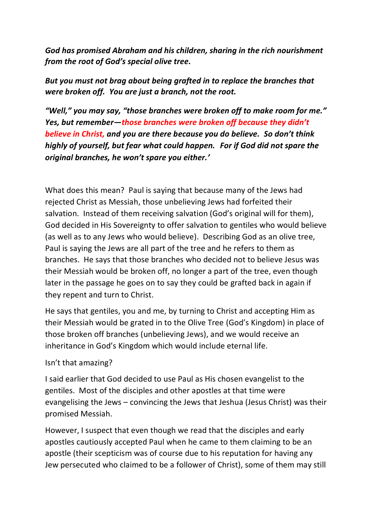*God has promised Abraham and his children, sharing in the rich nourishment from the root of God's special olive tree.* 

*But you must not brag about being grafted in to replace the branches that were broken off. You are just a branch, not the root.*

*"Well," you may say, "those branches were broken off to make room for me." Yes, but remember—those branches were broken off because they didn't believe in Christ, and you are there because you do believe. So don't think highly of yourself, but fear what could happen. For if God did not spare the original branches, he won't spare you either.'*

What does this mean? Paul is saying that because many of the Jews had rejected Christ as Messiah, those unbelieving Jews had forfeited their salvation. Instead of them receiving salvation (God's original will for them), God decided in His Sovereignty to offer salvation to gentiles who would believe (as well as to any Jews who would believe). Describing God as an olive tree, Paul is saying the Jews are all part of the tree and he refers to them as branches. He says that those branches who decided not to believe Jesus was their Messiah would be broken off, no longer a part of the tree, even though later in the passage he goes on to say they could be grafted back in again if they repent and turn to Christ.

He says that gentiles, you and me, by turning to Christ and accepting Him as their Messiah would be grated in to the Olive Tree (God's Kingdom) in place of those broken off branches (unbelieving Jews), and we would receive an inheritance in God's Kingdom which would include eternal life.

#### Isn't that amazing?

I said earlier that God decided to use Paul as His chosen evangelist to the gentiles. Most of the disciples and other apostles at that time were evangelising the Jews – convincing the Jews that Jeshua (Jesus Christ) was their promised Messiah.

However, I suspect that even though we read that the disciples and early apostles cautiously accepted Paul when he came to them claiming to be an apostle (their scepticism was of course due to his reputation for having any Jew persecuted who claimed to be a follower of Christ), some of them may still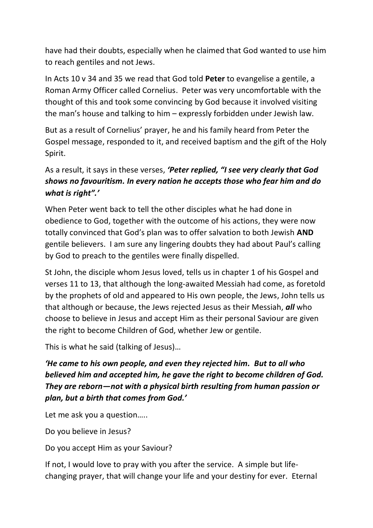have had their doubts, especially when he claimed that God wanted to use him to reach gentiles and not Jews.

In Acts 10 v 34 and 35 we read that God told **Peter** to evangelise a gentile, a Roman Army Officer called Cornelius. Peter was very uncomfortable with the thought of this and took some convincing by God because it involved visiting the man's house and talking to him – expressly forbidden under Jewish law.

But as a result of Cornelius' prayer, he and his family heard from Peter the Gospel message, responded to it, and received baptism and the gift of the Holy Spirit.

### As a result, it says in these verses, *'Peter replied, "I see very clearly that God shows no favouritism. In every nation he accepts those who fear him and do what is right".'*

When Peter went back to tell the other disciples what he had done in obedience to God, together with the outcome of his actions, they were now totally convinced that God's plan was to offer salvation to both Jewish **AND** gentile believers. I am sure any lingering doubts they had about Paul's calling by God to preach to the gentiles were finally dispelled.

St John, the disciple whom Jesus loved, tells us in chapter 1 of his Gospel and verses 11 to 13, that although the long-awaited Messiah had come, as foretold by the prophets of old and appeared to His own people, the Jews, John tells us that although or because, the Jews rejected Jesus as their Messiah, *all* who choose to believe in Jesus and accept Him as their personal Saviour are given the right to become Children of God, whether Jew or gentile.

This is what he said (talking of Jesus)…

*'He came to his own people, and even they rejected him. But to all who believed him and accepted him, he gave the right to become children of God. They are reborn—not with a physical birth resulting from human passion or plan, but a birth that comes from God.'*

Let me ask you a question.....

Do you believe in Jesus?

Do you accept Him as your Saviour?

If not, I would love to pray with you after the service. A simple but lifechanging prayer, that will change your life and your destiny for ever. Eternal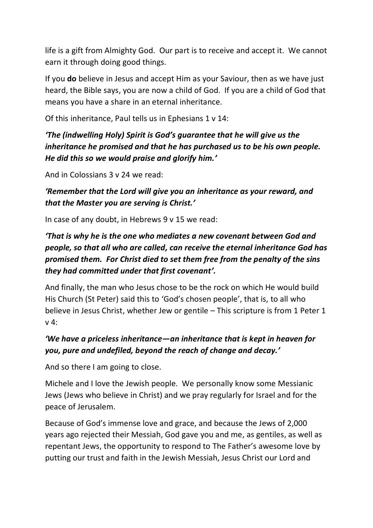life is a gift from Almighty God. Our part is to receive and accept it. We cannot earn it through doing good things.

If you **do** believe in Jesus and accept Him as your Saviour, then as we have just heard, the Bible says, you are now a child of God. If you are a child of God that means you have a share in an eternal inheritance.

Of this inheritance, Paul tells us in Ephesians 1 v 14:

# *'The (indwelling Holy) Spirit is God's guarantee that he will give us the inheritance he promised and that he has purchased us to be his own people. He did this so we would praise and glorify him.'*

And in Colossians 3 v 24 we read:

*'Remember that the Lord will give you an inheritance as your reward, and that the Master you are serving is Christ.'*

In case of any doubt, in Hebrews 9 v 15 we read:

# *'That is why he is the one who mediates a new covenant between God and people, so that all who are called, can receive the eternal inheritance God has promised them. For Christ died to set them free from the penalty of the sins they had committed under that first covenant'.*

And finally, the man who Jesus chose to be the rock on which He would build His Church (St Peter) said this to 'God's chosen people', that is, to all who believe in Jesus Christ, whether Jew or gentile – This scripture is from 1 Peter 1 v 4:

# *'We have a priceless inheritance—an inheritance that is kept in heaven for you, pure and undefiled, beyond the reach of change and decay.'*

And so there I am going to close.

Michele and I love the Jewish people. We personally know some Messianic Jews (Jews who believe in Christ) and we pray regularly for Israel and for the peace of Jerusalem.

Because of God's immense love and grace, and because the Jews of 2,000 years ago rejected their Messiah, God gave you and me, as gentiles, as well as repentant Jews, the opportunity to respond to The Father's awesome love by putting our trust and faith in the Jewish Messiah, Jesus Christ our Lord and